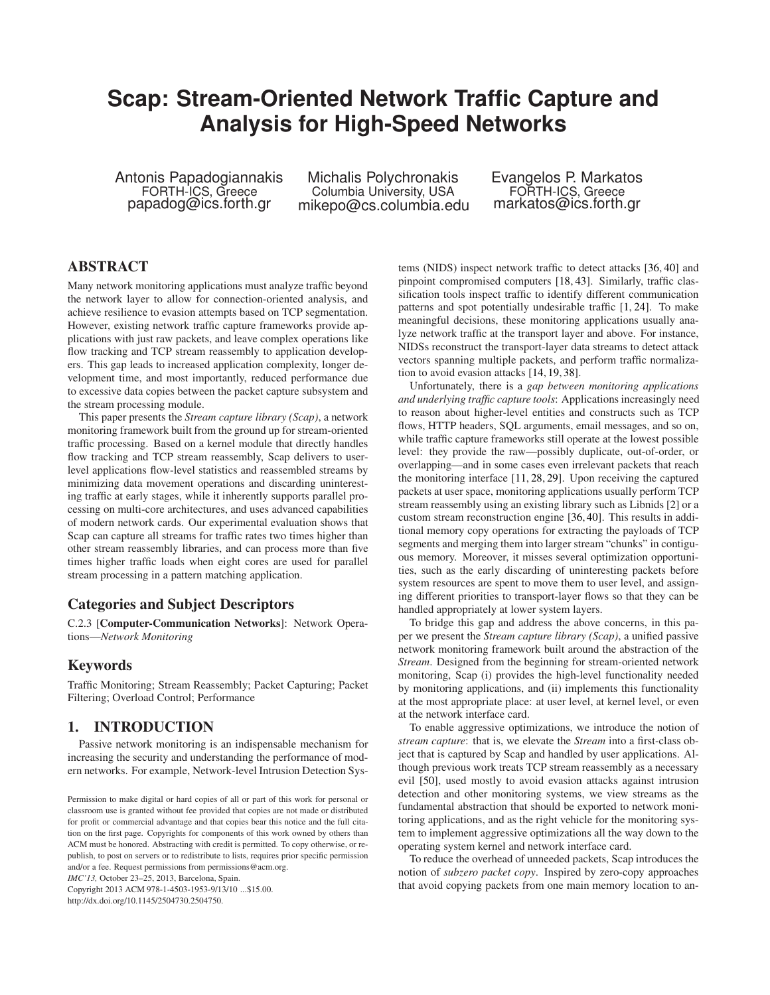# **Scap: Stream-Oriented Network Traffic Capture and Analysis for High-Speed Networks**

Antonis Papadogiannakis FORTH-ICS, Greece papadog@ics.forth.gr

Michalis Polychronakis Columbia University, USA mikepo@cs.columbia.edu Evangelos P. Markatos FORTH-ICS, Greece markatos@ics.forth.gr

# **ABSTRACT**

Many network monitoring applications must analyze traffic beyond the network layer to allow for connection-oriented analysis, and achieve resilience to evasion attempts based on TCP segmentation. However, existing network traffic capture frameworks provide applications with just raw packets, and leave complex operations like flow tracking and TCP stream reassembly to application developers. This gap leads to increased application complexity, longer development time, and most importantly, reduced performance due to excessive data copies between the packet capture subsystem and the stream processing module.

This paper presents the *Stream capture library (Scap)*, a network monitoring framework built from the ground up for stream-oriented traffic processing. Based on a kernel module that directly handles flow tracking and TCP stream reassembly, Scap delivers to userlevel applications flow-level statistics and reassembled streams by minimizing data movement operations and discarding uninteresting traffic at early stages, while it inherently supports parallel processing on multi-core architectures, and uses advanced capabilities of modern network cards. Our experimental evaluation shows that Scap can capture all streams for traffic rates two times higher than other stream reassembly libraries, and can process more than five times higher traffic loads when eight cores are used for parallel stream processing in a pattern matching application.

# **Categories and Subject Descriptors**

C.2.3 [**Computer-Communication Networks**]: Network Operations—*Network Monitoring*

## **Keywords**

Traffic Monitoring; Stream Reassembly; Packet Capturing; Packet Filtering; Overload Control; Performance

# **1. INTRODUCTION**

Passive network monitoring is an indispensable mechanism for increasing the security and understanding the performance of modern networks. For example, Network-level Intrusion Detection Sys-

*IMC'13,* October 23–25, 2013, Barcelona, Spain.

Copyright 2013 ACM 978-1-4503-1953-9/13/10 ...\$15.00. http://dx.doi.org/10.1145/2504730.2504750.

tems (NIDS) inspect network traffic to detect attacks [\[36,](#page-13-0) [40\]](#page-13-1) and pinpoint compromised computers [\[18,](#page-13-2) [43\]](#page-13-3). Similarly, traffic classification tools inspect traffic to identify different communication patterns and spot potentially undesirable traffic [\[1,](#page-12-0) [24\]](#page-13-4). To make meaningful decisions, these monitoring applications usually analyze network traffic at the transport layer and above. For instance, NIDSs reconstruct the transport-layer data streams to detect attack vectors spanning multiple packets, and perform traffic normalization to avoid evasion attacks [\[14,](#page-12-1) [19,](#page-13-5) [38\]](#page-13-6).

Unfortunately, there is a *gap between monitoring applications and underlying traffic capture tools*: Applications increasingly need to reason about higher-level entities and constructs such as TCP flows, HTTP headers, SQL arguments, email messages, and so on, while traffic capture frameworks still operate at the lowest possible level: they provide the raw—possibly duplicate, out-of-order, or overlapping—and in some cases even irrelevant packets that reach the monitoring interface [\[11,](#page-12-2) [28,](#page-13-7) [29\]](#page-13-8). Upon receiving the captured packets at user space, monitoring applications usually perform TCP stream reassembly using an existing library such as Libnids [\[2\]](#page-12-3) or a custom stream reconstruction engine [\[36,](#page-13-0) [40\]](#page-13-1). This results in additional memory copy operations for extracting the payloads of TCP segments and merging them into larger stream "chunks" in contiguous memory. Moreover, it misses several optimization opportunities, such as the early discarding of uninteresting packets before system resources are spent to move them to user level, and assigning different priorities to transport-layer flows so that they can be handled appropriately at lower system layers.

To bridge this gap and address the above concerns, in this paper we present the *Stream capture library (Scap)*, a unified passive network monitoring framework built around the abstraction of the *Stream*. Designed from the beginning for stream-oriented network monitoring, Scap (i) provides the high-level functionality needed by monitoring applications, and (ii) implements this functionality at the most appropriate place: at user level, at kernel level, or even at the network interface card.

To enable aggressive optimizations, we introduce the notion of *stream capture*: that is, we elevate the *Stream* into a first-class object that is captured by Scap and handled by user applications. Although previous work treats TCP stream reassembly as a necessary evil [\[50\]](#page-13-9), used mostly to avoid evasion attacks against intrusion detection and other monitoring systems, we view streams as the fundamental abstraction that should be exported to network monitoring applications, and as the right vehicle for the monitoring system to implement aggressive optimizations all the way down to the operating system kernel and network interface card.

To reduce the overhead of unneeded packets, Scap introduces the notion of *subzero packet copy*. Inspired by zero-copy approaches that avoid copying packets from one main memory location to an-

Permission to make digital or hard copies of all or part of this work for personal or classroom use is granted without fee provided that copies are not made or distributed for profit or commercial advantage and that copies bear this notice and the full citation on the first page. Copyrights for components of this work owned by others than ACM must be honored. Abstracting with credit is permitted. To copy otherwise, or republish, to post on servers or to redistribute to lists, requires prior specific permission and/or a fee. Request permissions from permissions@acm.org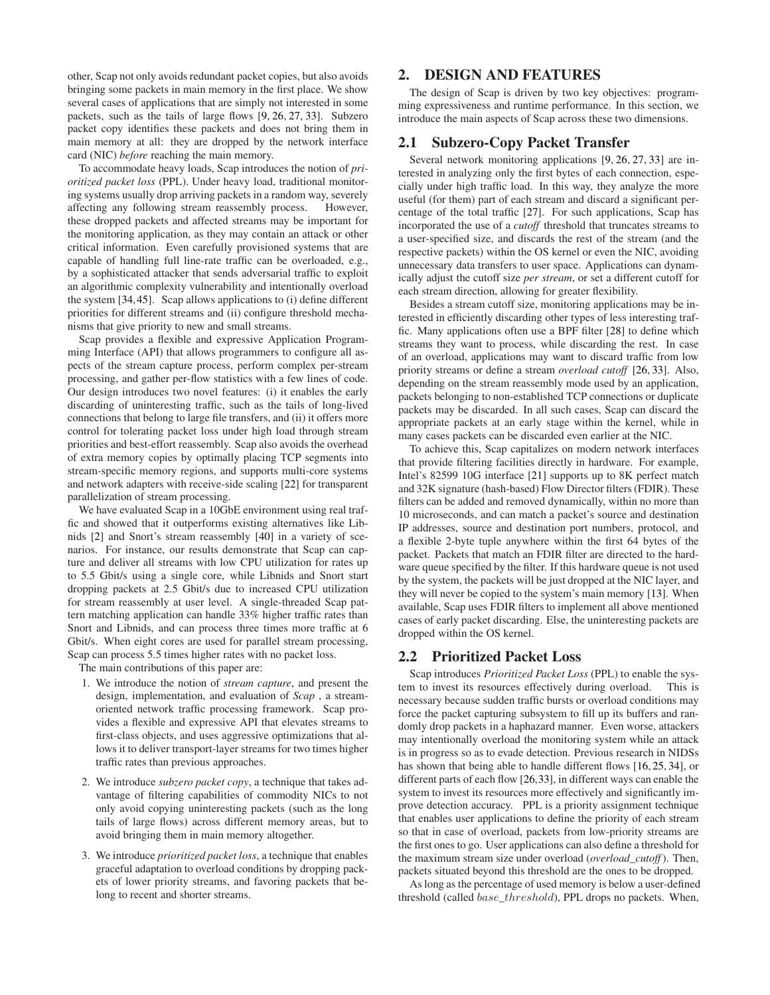other, Scap not only avoids redundant packet copies, but also avoids bringing some packets in main memory in the first place. We show several cases of applications that are simply not interested in some packets, such as the tails of large flows [\[9,](#page-12-4) [26,](#page-13-10) [27,](#page-13-11) [33\]](#page-13-12). Subzero packet copy identifies these packets and does not bring them in main memory at all: they are dropped by the network interface card (NIC) *before* reaching the main memory.

To accommodate heavy loads, Scap introduces the notion of *prioritized packet loss* (PPL). Under heavy load, traditional monitoring systems usually drop arriving packets in a random way, severely affecting any following stream reassembly process. However, these dropped packets and affected streams may be important for the monitoring application, as they may contain an attack or other critical information. Even carefully provisioned systems that are capable of handling full line-rate traffic can be overloaded, e.g., by a sophisticated attacker that sends adversarial traffic to exploit an algorithmic complexity vulnerability and intentionally overload the system [\[34,](#page-13-13)[45\]](#page-13-14). Scap allows applications to (i) define different priorities for different streams and (ii) configure threshold mechanisms that give priority to new and small streams.

Scap provides a flexible and expressive Application Programming Interface (API) that allows programmers to configure all aspects of the stream capture process, perform complex per-stream processing, and gather per-flow statistics with a few lines of code. Our design introduces two novel features: (i) it enables the early discarding of uninteresting traffic, such as the tails of long-lived connections that belong to large file transfers, and (ii) it offers more control for tolerating packet loss under high load through stream priorities and best-effort reassembly. Scap also avoids the overhead of extra memory copies by optimally placing TCP segments into stream-specific memory regions, and supports multi-core systems and network adapters with receive-side scaling [\[22\]](#page-13-15) for transparent parallelization of stream processing.

We have evaluated Scap in a 10GbE environment using real traffic and showed that it outperforms existing alternatives like Libnids [\[2\]](#page-12-3) and Snort's stream reassembly [\[40\]](#page-13-1) in a variety of scenarios. For instance, our results demonstrate that Scap can capture and deliver all streams with low CPU utilization for rates up to 5.5 Gbit/s using a single core, while Libnids and Snort start dropping packets at 2.5 Gbit/s due to increased CPU utilization for stream reassembly at user level. A single-threaded Scap pattern matching application can handle 33% higher traffic rates than Snort and Libnids, and can process three times more traffic at 6 Gbit/s. When eight cores are used for parallel stream processing, Scap can process 5.5 times higher rates with no packet loss.

The main contributions of this paper are:

- 1. We introduce the notion of *stream capture*, and present the design, implementation, and evaluation of *Scap* , a streamoriented network traffic processing framework. Scap provides a flexible and expressive API that elevates streams to first-class objects, and uses aggressive optimizations that allows it to deliver transport-layer streams for two times higher traffic rates than previous approaches.
- 2. We introduce *subzero packet copy*, a technique that takes advantage of filtering capabilities of commodity NICs to not only avoid copying uninteresting packets (such as the long tails of large flows) across different memory areas, but to avoid bringing them in main memory altogether.
- 3. We introduce *prioritized packet loss*, a technique that enables graceful adaptation to overload conditions by dropping packets of lower priority streams, and favoring packets that belong to recent and shorter streams.

# **2. DESIGN AND FEATURES**

The design of Scap is driven by two key objectives: programming expressiveness and runtime performance. In this section, we introduce the main aspects of Scap across these two dimensions.

## **2.1 Subzero-Copy Packet Transfer**

Several network monitoring applications [\[9,](#page-12-4) [26,](#page-13-10) [27,](#page-13-11) [33\]](#page-13-12) are interested in analyzing only the first bytes of each connection, especially under high traffic load. In this way, they analyze the more useful (for them) part of each stream and discard a significant percentage of the total traffic [\[27\]](#page-13-11). For such applications, Scap has incorporated the use of a *cutoff* threshold that truncates streams to a user-specified size, and discards the rest of the stream (and the respective packets) within the OS kernel or even the NIC, avoiding unnecessary data transfers to user space. Applications can dynamically adjust the cutoff size *per stream*, or set a different cutoff for each stream direction, allowing for greater flexibility.

Besides a stream cutoff size, monitoring applications may be interested in efficiently discarding other types of less interesting traffic. Many applications often use a BPF filter [\[28\]](#page-13-7) to define which streams they want to process, while discarding the rest. In case of an overload, applications may want to discard traffic from low priority streams or define a stream *overload cutoff* [\[26,](#page-13-10) [33\]](#page-13-12). Also, depending on the stream reassembly mode used by an application, packets belonging to non-established TCP connections or duplicate packets may be discarded. In all such cases, Scap can discard the appropriate packets at an early stage within the kernel, while in many cases packets can be discarded even earlier at the NIC.

To achieve this, Scap capitalizes on modern network interfaces that provide filtering facilities directly in hardware. For example, Intel's 82599 10G interface [\[21\]](#page-13-16) supports up to 8K perfect match and 32K signature (hash-based) Flow Director filters (FDIR). These filters can be added and removed dynamically, within no more than 10 microseconds, and can match a packet's source and destination IP addresses, source and destination port numbers, protocol, and a flexible 2-byte tuple anywhere within the first 64 bytes of the packet. Packets that match an FDIR filter are directed to the hardware queue specified by the filter. If this hardware queue is not used by the system, the packets will be just dropped at the NIC layer, and they will never be copied to the system's main memory [\[13\]](#page-12-5). When available, Scap uses FDIR filters to implement all above mentioned cases of early packet discarding. Else, the uninteresting packets are dropped within the OS kernel.

## **2.2 Prioritized Packet Loss**

Scap introduces *Prioritized Packet Loss* (PPL) to enable the system to invest its resources effectively during overload. This is necessary because sudden traffic bursts or overload conditions may force the packet capturing subsystem to fill up its buffers and randomly drop packets in a haphazard manner. Even worse, attackers may intentionally overload the monitoring system while an attack is in progress so as to evade detection. Previous research in NIDSs has shown that being able to handle different flows [\[16,](#page-13-17) [25,](#page-13-18) [34\]](#page-13-13), or different parts of each flow [\[26](#page-13-10)[,33\]](#page-13-12), in different ways can enable the system to invest its resources more effectively and significantly improve detection accuracy. PPL is a priority assignment technique that enables user applications to define the priority of each stream so that in case of overload, packets from low-priority streams are the first ones to go. User applications can also define a threshold for the maximum stream size under overload (*overload\_cutoff*). Then, packets situated beyond this threshold are the ones to be dropped.

As long as the percentage of used memory is below a user-defined threshold (called base\_threshold), PPL drops no packets. When,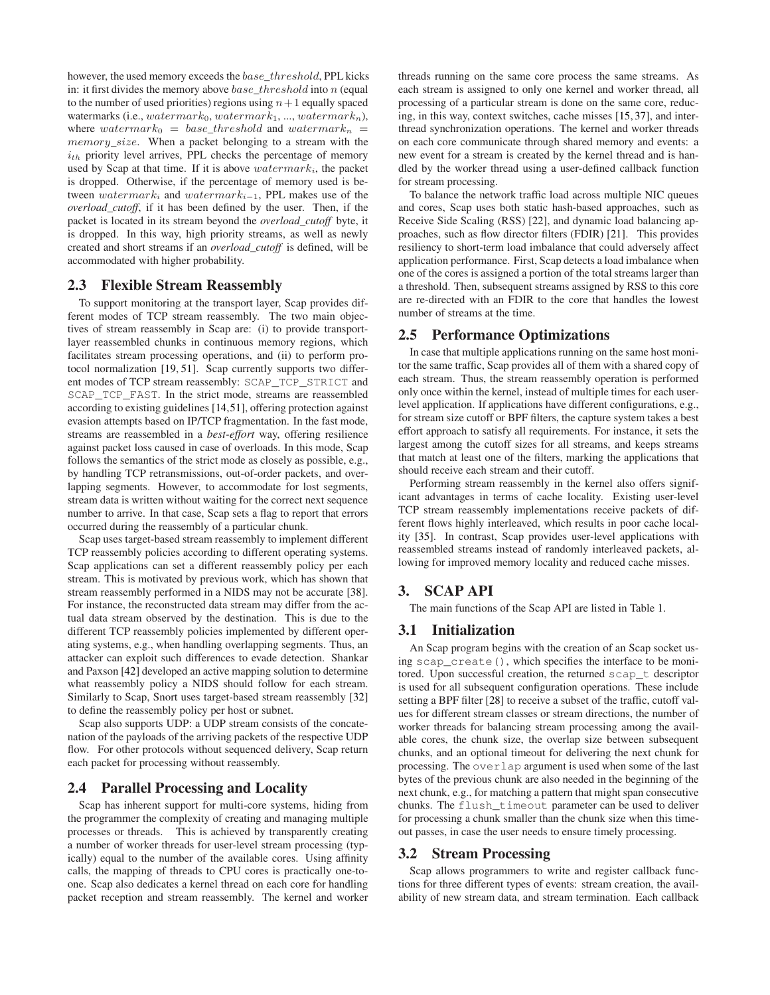however, the used memory exceeds the base\_threshold, PPL kicks in: it first divides the memory above  $base\_threshold$  into n (equal to the number of used priorities) regions using  $n+1$  equally spaced watermarks (i.e.,  $watermark_0$ ,  $watermark_1$ , ...,  $watermark_n$ ), where watermark<sub>0</sub> = base\_threshold and watermark<sub>n</sub> = memory\_size. When a packet belonging to a stream with the  $i_{th}$  priority level arrives, PPL checks the percentage of memory used by Scap at that time. If it is above  $watermark_i$ , the packet is dropped. Otherwise, if the percentage of memory used is between watermark<sub>i</sub> and watermark<sub>i-1</sub>, PPL makes use of the *overload\_cutoff*, if it has been defined by the user. Then, if the packet is located in its stream beyond the *overload\_cutoff* byte, it is dropped. In this way, high priority streams, as well as newly created and short streams if an *overload\_cutoff* is defined, will be accommodated with higher probability.

## **2.3 Flexible Stream Reassembly**

To support monitoring at the transport layer, Scap provides different modes of TCP stream reassembly. The two main objectives of stream reassembly in Scap are: (i) to provide transportlayer reassembled chunks in continuous memory regions, which facilitates stream processing operations, and (ii) to perform protocol normalization [\[19,](#page-13-5) [51\]](#page-13-19). Scap currently supports two different modes of TCP stream reassembly: SCAP\_TCP\_STRICT and SCAP\_TCP\_FAST. In the strict mode, streams are reassembled according to existing guidelines [\[14,](#page-12-1)[51\]](#page-13-19), offering protection against evasion attempts based on IP/TCP fragmentation. In the fast mode, streams are reassembled in a *best-effort* way, offering resilience against packet loss caused in case of overloads. In this mode, Scap follows the semantics of the strict mode as closely as possible, e.g., by handling TCP retransmissions, out-of-order packets, and overlapping segments. However, to accommodate for lost segments, stream data is written without waiting for the correct next sequence number to arrive. In that case, Scap sets a flag to report that errors occurred during the reassembly of a particular chunk.

Scap uses target-based stream reassembly to implement different TCP reassembly policies according to different operating systems. Scap applications can set a different reassembly policy per each stream. This is motivated by previous work, which has shown that stream reassembly performed in a NIDS may not be accurate [\[38\]](#page-13-6). For instance, the reconstructed data stream may differ from the actual data stream observed by the destination. This is due to the different TCP reassembly policies implemented by different operating systems, e.g., when handling overlapping segments. Thus, an attacker can exploit such differences to evade detection. Shankar and Paxson [\[42\]](#page-13-20) developed an active mapping solution to determine what reassembly policy a NIDS should follow for each stream. Similarly to Scap, Snort uses target-based stream reassembly [\[32\]](#page-13-21) to define the reassembly policy per host or subnet.

Scap also supports UDP: a UDP stream consists of the concatenation of the payloads of the arriving packets of the respective UDP flow. For other protocols without sequenced delivery, Scap return each packet for processing without reassembly.

## **2.4 Parallel Processing and Locality**

Scap has inherent support for multi-core systems, hiding from the programmer the complexity of creating and managing multiple processes or threads. This is achieved by transparently creating a number of worker threads for user-level stream processing (typically) equal to the number of the available cores. Using affinity calls, the mapping of threads to CPU cores is practically one-toone. Scap also dedicates a kernel thread on each core for handling packet reception and stream reassembly. The kernel and worker threads running on the same core process the same streams. As each stream is assigned to only one kernel and worker thread, all processing of a particular stream is done on the same core, reducing, in this way, context switches, cache misses [\[15,](#page-12-6) [37\]](#page-13-22), and interthread synchronization operations. The kernel and worker threads on each core communicate through shared memory and events: a new event for a stream is created by the kernel thread and is handled by the worker thread using a user-defined callback function for stream processing.

To balance the network traffic load across multiple NIC queues and cores, Scap uses both static hash-based approaches, such as Receive Side Scaling (RSS) [\[22\]](#page-13-15), and dynamic load balancing approaches, such as flow director filters (FDIR) [\[21\]](#page-13-16). This provides resiliency to short-term load imbalance that could adversely affect application performance. First, Scap detects a load imbalance when one of the cores is assigned a portion of the total streams larger than a threshold. Then, subsequent streams assigned by RSS to this core are re-directed with an FDIR to the core that handles the lowest number of streams at the time.

### **2.5 Performance Optimizations**

In case that multiple applications running on the same host monitor the same traffic, Scap provides all of them with a shared copy of each stream. Thus, the stream reassembly operation is performed only once within the kernel, instead of multiple times for each userlevel application. If applications have different configurations, e.g., for stream size cutoff or BPF filters, the capture system takes a best effort approach to satisfy all requirements. For instance, it sets the largest among the cutoff sizes for all streams, and keeps streams that match at least one of the filters, marking the applications that should receive each stream and their cutoff.

Performing stream reassembly in the kernel also offers significant advantages in terms of cache locality. Existing user-level TCP stream reassembly implementations receive packets of different flows highly interleaved, which results in poor cache locality [\[35\]](#page-13-23). In contrast, Scap provides user-level applications with reassembled streams instead of randomly interleaved packets, allowing for improved memory locality and reduced cache misses.

# **3. SCAP API**

The main functions of the Scap API are listed in Table [1.](#page-3-0)

## **3.1 Initialization**

An Scap program begins with the creation of an Scap socket using scap\_create(), which specifies the interface to be monitored. Upon successful creation, the returned scap\_t descriptor is used for all subsequent configuration operations. These include setting a BPF filter [\[28\]](#page-13-7) to receive a subset of the traffic, cutoff values for different stream classes or stream directions, the number of worker threads for balancing stream processing among the available cores, the chunk size, the overlap size between subsequent chunks, and an optional timeout for delivering the next chunk for processing. The overlap argument is used when some of the last bytes of the previous chunk are also needed in the beginning of the next chunk, e.g., for matching a pattern that might span consecutive chunks. The flush\_timeout parameter can be used to deliver for processing a chunk smaller than the chunk size when this timeout passes, in case the user needs to ensure timely processing.

#### **3.2 Stream Processing**

Scap allows programmers to write and register callback functions for three different types of events: stream creation, the availability of new stream data, and stream termination. Each callback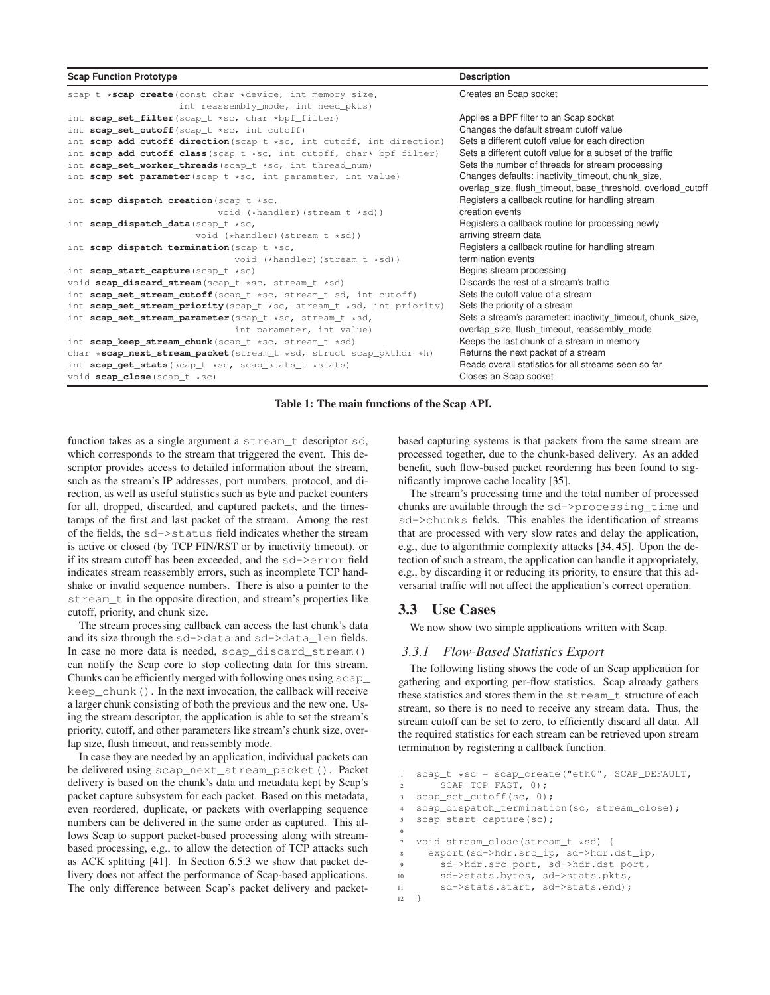| <b>Scap Function Prototype</b>                                       | <b>Description</b>                                           |
|----------------------------------------------------------------------|--------------------------------------------------------------|
| scap_t *scap_create(const char *device, int memory_size,             | Creates an Scap socket                                       |
| int reassembly_mode, int need_pkts)                                  |                                                              |
| int scap_set_filter(scap_t *sc, char *bpf_filter)                    | Applies a BPF filter to an Scap socket                       |
| int scap_set_cutoff(scap_t *sc, int cutoff)                          | Changes the default stream cutoff value                      |
| int scap_add_cutoff_direction(scap_t *sc, int cutoff, int direction) | Sets a different cutoff value for each direction             |
| int scap_add_cutoff_class(scap_t *sc, int cutoff, char* bpf_filter)  | Sets a different cutoff value for a subset of the traffic    |
| int scap_set_worker_threads (scap_t *sc, int thread_num)             | Sets the number of threads for stream processing             |
| int scap_set_parameter(scap_t *sc, int parameter, int value)         | Changes defaults: inactivity_timeout, chunk_size,            |
|                                                                      | overlap size, flush timeout, base threshold, overload cutoff |
| int scap_dispatch_creation(scap_t *sc,                               | Registers a callback routine for handling stream             |
| void (*handler) (stream_t *sd))                                      | creation events                                              |
| int scap_dispatch_data(scap_t *sc,                                   | Registers a callback routine for processing newly            |
| void $(*handler)$ (stream $t * sd$ ))                                | arriving stream data                                         |
| int scap dispatch termination (scap $t$ *sc,                         | Registers a callback routine for handling stream             |
| void $(*handler)$ (stream_t $*sd)$ )                                 | termination events                                           |
| int scap_start_capture(scap_t *sc)                                   | Begins stream processing                                     |
| void scap_discard_stream(scap_t *sc, stream_t *sd)                   | Discards the rest of a stream's traffic                      |
| int scap_set_stream_cutoff(scap_t *sc, stream_t sd, int cutoff)      | Sets the cutoff value of a stream                            |
| int scap_set_stream_priority(scap_t *sc, stream_t *sd, int priority) | Sets the priority of a stream                                |
| int scap_set_stream_parameter(scap_t *sc, stream_t *sd,              | Sets a stream's parameter: inactivity timeout, chunk size,   |
| int parameter, int value)                                            | overlap size, flush timeout, reassembly mode                 |
| int scap_keep_stream_chunk(scap_t *sc, stream_t *sd)                 | Keeps the last chunk of a stream in memory                   |
| char *scap_next_stream_packet(stream_t *sd, struct scap_pkthdr *h)   | Returns the next packet of a stream                          |
| int scap_get_stats(scap_t *sc, scap_stats_t *stats)                  | Reads overall statistics for all streams seen so far         |
| void scap_close(scap_t *sc)                                          | Closes an Scap socket                                        |

<span id="page-3-0"></span>**Table 1: The main functions of the Scap API.**

function takes as a single argument a stream\_t descriptor sd, which corresponds to the stream that triggered the event. This descriptor provides access to detailed information about the stream, such as the stream's IP addresses, port numbers, protocol, and direction, as well as useful statistics such as byte and packet counters for all, dropped, discarded, and captured packets, and the timestamps of the first and last packet of the stream. Among the rest of the fields, the sd->status field indicates whether the stream is active or closed (by TCP FIN/RST or by inactivity timeout), or if its stream cutoff has been exceeded, and the sd->error field indicates stream reassembly errors, such as incomplete TCP handshake or invalid sequence numbers. There is also a pointer to the stream\_t in the opposite direction, and stream's properties like cutoff, priority, and chunk size.

The stream processing callback can access the last chunk's data and its size through the sd->data and sd->data\_len fields. In case no more data is needed, scap\_discard\_stream() can notify the Scap core to stop collecting data for this stream. Chunks can be efficiently merged with following ones using scap\_ keep\_chunk(). In the next invocation, the callback will receive a larger chunk consisting of both the previous and the new one. Using the stream descriptor, the application is able to set the stream's priority, cutoff, and other parameters like stream's chunk size, overlap size, flush timeout, and reassembly mode.

In case they are needed by an application, individual packets can be delivered using scap\_next\_stream\_packet(). Packet delivery is based on the chunk's data and metadata kept by Scap's packet capture subsystem for each packet. Based on this metadata, even reordered, duplicate, or packets with overlapping sequence numbers can be delivered in the same order as captured. This allows Scap to support packet-based processing along with streambased processing, e.g., to allow the detection of TCP attacks such as ACK splitting [\[41\]](#page-13-24). In Section [6.5.3](#page-9-0) we show that packet delivery does not affect the performance of Scap-based applications. The only difference between Scap's packet delivery and packetbased capturing systems is that packets from the same stream are processed together, due to the chunk-based delivery. As an added benefit, such flow-based packet reordering has been found to significantly improve cache locality [\[35\]](#page-13-23).

The stream's processing time and the total number of processed chunks are available through the sd->processing\_time and sd->chunks fields. This enables the identification of streams that are processed with very slow rates and delay the application, e.g., due to algorithmic complexity attacks [\[34,](#page-13-13) [45\]](#page-13-14). Upon the detection of such a stream, the application can handle it appropriately, e.g., by discarding it or reducing its priority, to ensure that this adversarial traffic will not affect the application's correct operation.

# **3.3 Use Cases**

We now show two simple applications written with Scap.

## *3.3.1 Flow-Based Statistics Export*

The following listing shows the code of an Scap application for gathering and exporting per-flow statistics. Scap already gathers these statistics and stores them in the stream\_t structure of each stream, so there is no need to receive any stream data. Thus, the stream cutoff can be set to zero, to efficiently discard all data. All the required statistics for each stream can be retrieved upon stream termination by registering a callback function.

```
scap_t *sc = scap_create("eth0", SCAP_DEFAULT,
       SCAP_TCP_FAST, 0);
3 scap_set_cutoff(sc, 0);
4 scap_dispatch_termination(sc, stream_close);
5 scap_start_capture(sc);
6
   7 void stream_close(stream_t *sd) {
8 export(sd->hdr.src_ip, sd->hdr.dst_ip,
9 sd->hdr.src_port, sd->hdr.dst_port,
10 sd->stats.bytes, sd->stats.pkts,
11 sd->stats.start, sd->stats.end);
12 \quad \frac{1}{2}
```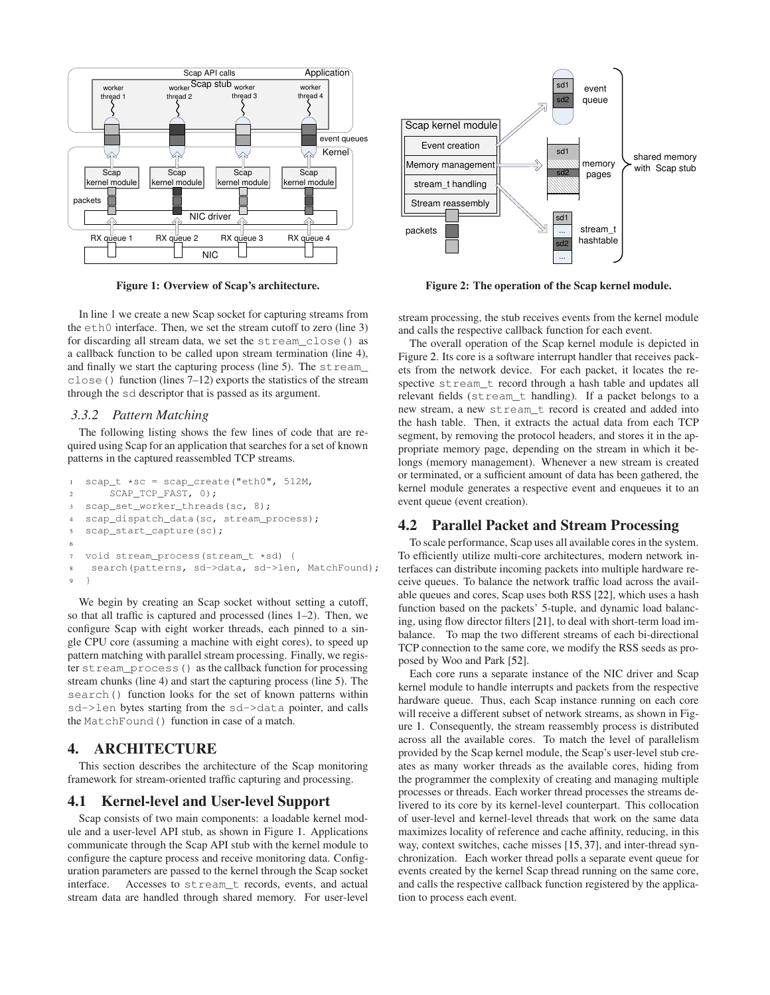

<span id="page-4-0"></span>**Figure 1: Overview of Scap's architecture.**

In line 1 we create a new Scap socket for capturing streams from the eth0 interface. Then, we set the stream cutoff to zero (line 3) for discarding all stream data, we set the stream\_close() as a callback function to be called upon stream termination (line 4), and finally we start the capturing process (line 5). The stream\_ close() function (lines 7–12) exports the statistics of the stream through the sd descriptor that is passed as its argument.

#### *3.3.2 Pattern Matching*

The following listing shows the few lines of code that are required using Scap for an application that searches for a set of known patterns in the captured reassembled TCP streams.

```
1 scap_t *sc = scap\_create("eth0", 512M,2 SCAP_TCP_FAST, 0);
3 scap_set_worker_threads(sc, 8);
4 scap_dispatch_data(sc, stream_process);
5 scap_start_capture(sc);
6
7 void stream_process(stream_t *sd) {
8 search(patterns, sd->data, sd->len, MatchFound);
<sup>9</sup>
```
We begin by creating an Scap socket without setting a cutoff, so that all traffic is captured and processed (lines 1–2). Then, we configure Scap with eight worker threads, each pinned to a single CPU core (assuming a machine with eight cores), to speed up pattern matching with parallel stream processing. Finally, we register stream\_process() as the callback function for processing stream chunks (line 4) and start the capturing process (line 5). The search() function looks for the set of known patterns within sd->len bytes starting from the sd->data pointer, and calls the MatchFound() function in case of a match.

# **4. ARCHITECTURE**

This section describes the architecture of the Scap monitoring framework for stream-oriented traffic capturing and processing.

## **4.1 Kernel-level and User-level Support**

Scap consists of two main components: a loadable kernel module and a user-level API stub, as shown in Figure [1.](#page-4-0) Applications communicate through the Scap API stub with the kernel module to configure the capture process and receive monitoring data. Configuration parameters are passed to the kernel through the Scap socket interface. Accesses to stream\_t records, events, and actual stream data are handled through shared memory. For user-level



<span id="page-4-1"></span>**Figure 2: The operation of the Scap kernel module.**

stream processing, the stub receives events from the kernel module and calls the respective callback function for each event.

The overall operation of the Scap kernel module is depicted in Figure [2.](#page-4-1) Its core is a software interrupt handler that receives packets from the network device. For each packet, it locates the respective stream\_t record through a hash table and updates all relevant fields (stream\_t handling). If a packet belongs to a new stream, a new stream\_t record is created and added into the hash table. Then, it extracts the actual data from each TCP segment, by removing the protocol headers, and stores it in the appropriate memory page, depending on the stream in which it belongs (memory management). Whenever a new stream is created or terminated, or a sufficient amount of data has been gathered, the kernel module generates a respective event and enqueues it to an event queue (event creation).

# **4.2 Parallel Packet and Stream Processing**

To scale performance, Scap uses all available cores in the system. To efficiently utilize multi-core architectures, modern network interfaces can distribute incoming packets into multiple hardware receive queues. To balance the network traffic load across the available queues and cores, Scap uses both RSS [\[22\]](#page-13-15), which uses a hash function based on the packets' 5-tuple, and dynamic load balancing, using flow director filters [\[21\]](#page-13-16), to deal with short-term load imbalance. To map the two different streams of each bi-directional TCP connection to the same core, we modify the RSS seeds as proposed by Woo and Park [\[52\]](#page-13-25).

Each core runs a separate instance of the NIC driver and Scap kernel module to handle interrupts and packets from the respective hardware queue. Thus, each Scap instance running on each core will receive a different subset of network streams, as shown in Figure [1.](#page-4-0) Consequently, the stream reassembly process is distributed across all the available cores. To match the level of parallelism provided by the Scap kernel module, the Scap's user-level stub creates as many worker threads as the available cores, hiding from the programmer the complexity of creating and managing multiple processes or threads. Each worker thread processes the streams delivered to its core by its kernel-level counterpart. This collocation of user-level and kernel-level threads that work on the same data maximizes locality of reference and cache affinity, reducing, in this way, context switches, cache misses [\[15,](#page-12-6) [37\]](#page-13-22), and inter-thread synchronization. Each worker thread polls a separate event queue for events created by the kernel Scap thread running on the same core, and calls the respective callback function registered by the application to process each event.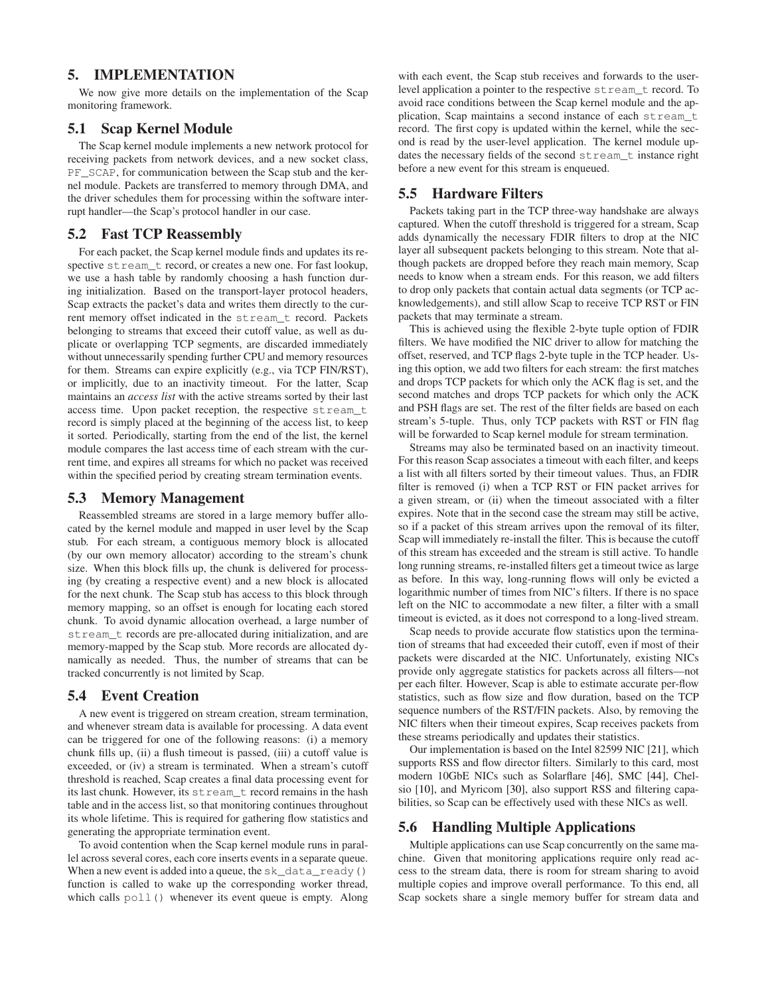# **5. IMPLEMENTATION**

We now give more details on the implementation of the Scap monitoring framework.

## **5.1 Scap Kernel Module**

The Scap kernel module implements a new network protocol for receiving packets from network devices, and a new socket class, PF\_SCAP, for communication between the Scap stub and the kernel module. Packets are transferred to memory through DMA, and the driver schedules them for processing within the software interrupt handler—the Scap's protocol handler in our case.

# **5.2 Fast TCP Reassembly**

For each packet, the Scap kernel module finds and updates its respective stream t record, or creates a new one. For fast lookup, we use a hash table by randomly choosing a hash function during initialization. Based on the transport-layer protocol headers, Scap extracts the packet's data and writes them directly to the current memory offset indicated in the stream\_t record. Packets belonging to streams that exceed their cutoff value, as well as duplicate or overlapping TCP segments, are discarded immediately without unnecessarily spending further CPU and memory resources for them. Streams can expire explicitly (e.g., via TCP FIN/RST), or implicitly, due to an inactivity timeout. For the latter, Scap maintains an *access list* with the active streams sorted by their last access time. Upon packet reception, the respective stream\_t record is simply placed at the beginning of the access list, to keep it sorted. Periodically, starting from the end of the list, the kernel module compares the last access time of each stream with the current time, and expires all streams for which no packet was received within the specified period by creating stream termination events.

#### **5.3 Memory Management**

Reassembled streams are stored in a large memory buffer allocated by the kernel module and mapped in user level by the Scap stub. For each stream, a contiguous memory block is allocated (by our own memory allocator) according to the stream's chunk size. When this block fills up, the chunk is delivered for processing (by creating a respective event) and a new block is allocated for the next chunk. The Scap stub has access to this block through memory mapping, so an offset is enough for locating each stored chunk. To avoid dynamic allocation overhead, a large number of stream\_t records are pre-allocated during initialization, and are memory-mapped by the Scap stub. More records are allocated dynamically as needed. Thus, the number of streams that can be tracked concurrently is not limited by Scap.

# **5.4 Event Creation**

A new event is triggered on stream creation, stream termination, and whenever stream data is available for processing. A data event can be triggered for one of the following reasons: (i) a memory chunk fills up, (ii) a flush timeout is passed, (iii) a cutoff value is exceeded, or (iv) a stream is terminated. When a stream's cutoff threshold is reached, Scap creates a final data processing event for its last chunk. However, its stream\_t record remains in the hash table and in the access list, so that monitoring continues throughout its whole lifetime. This is required for gathering flow statistics and generating the appropriate termination event.

To avoid contention when the Scap kernel module runs in parallel across several cores, each core inserts events in a separate queue. When a new event is added into a queue, the sk\_data\_ready() function is called to wake up the corresponding worker thread, which calls  $poll()$  whenever its event queue is empty. Along

with each event, the Scap stub receives and forwards to the userlevel application a pointer to the respective stream\_t record. To avoid race conditions between the Scap kernel module and the application, Scap maintains a second instance of each stream\_t record. The first copy is updated within the kernel, while the second is read by the user-level application. The kernel module updates the necessary fields of the second stream\_t instance right before a new event for this stream is enqueued.

# **5.5 Hardware Filters**

Packets taking part in the TCP three-way handshake are always captured. When the cutoff threshold is triggered for a stream, Scap adds dynamically the necessary FDIR filters to drop at the NIC layer all subsequent packets belonging to this stream. Note that although packets are dropped before they reach main memory, Scap needs to know when a stream ends. For this reason, we add filters to drop only packets that contain actual data segments (or TCP acknowledgements), and still allow Scap to receive TCP RST or FIN packets that may terminate a stream.

This is achieved using the flexible 2-byte tuple option of FDIR filters. We have modified the NIC driver to allow for matching the offset, reserved, and TCP flags 2-byte tuple in the TCP header. Using this option, we add two filters for each stream: the first matches and drops TCP packets for which only the ACK flag is set, and the second matches and drops TCP packets for which only the ACK and PSH flags are set. The rest of the filter fields are based on each stream's 5-tuple. Thus, only TCP packets with RST or FIN flag will be forwarded to Scap kernel module for stream termination.

Streams may also be terminated based on an inactivity timeout. For this reason Scap associates a timeout with each filter, and keeps a list with all filters sorted by their timeout values. Thus, an FDIR filter is removed (i) when a TCP RST or FIN packet arrives for a given stream, or (ii) when the timeout associated with a filter expires. Note that in the second case the stream may still be active, so if a packet of this stream arrives upon the removal of its filter, Scap will immediately re-install the filter. This is because the cutoff of this stream has exceeded and the stream is still active. To handle long running streams, re-installed filters get a timeout twice as large as before. In this way, long-running flows will only be evicted a logarithmic number of times from NIC's filters. If there is no space left on the NIC to accommodate a new filter, a filter with a small timeout is evicted, as it does not correspond to a long-lived stream.

Scap needs to provide accurate flow statistics upon the termination of streams that had exceeded their cutoff, even if most of their packets were discarded at the NIC. Unfortunately, existing NICs provide only aggregate statistics for packets across all filters—not per each filter. However, Scap is able to estimate accurate per-flow statistics, such as flow size and flow duration, based on the TCP sequence numbers of the RST/FIN packets. Also, by removing the NIC filters when their timeout expires, Scap receives packets from these streams periodically and updates their statistics.

Our implementation is based on the Intel 82599 NIC [\[21\]](#page-13-16), which supports RSS and flow director filters. Similarly to this card, most modern 10GbE NICs such as Solarflare [\[46\]](#page-13-26), SMC [\[44\]](#page-13-27), Chelsio [\[10\]](#page-12-7), and Myricom [\[30\]](#page-13-28), also support RSS and filtering capabilities, so Scap can be effectively used with these NICs as well.

## **5.6 Handling Multiple Applications**

Multiple applications can use Scap concurrently on the same machine. Given that monitoring applications require only read access to the stream data, there is room for stream sharing to avoid multiple copies and improve overall performance. To this end, all Scap sockets share a single memory buffer for stream data and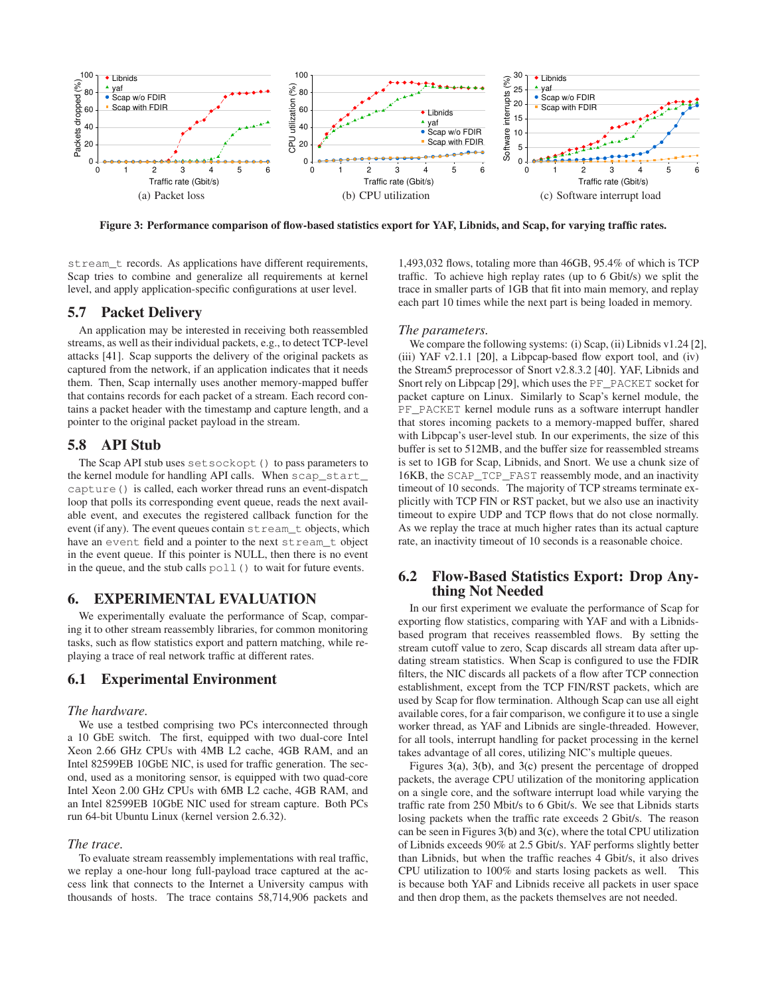<span id="page-6-1"></span><span id="page-6-0"></span>

**Figure 3: Performance comparison of flow-based statistics export for YAF, Libnids, and Scap, for varying traffic rates.**

stream\_t records. As applications have different requirements, Scap tries to combine and generalize all requirements at kernel level, and apply application-specific configurations at user level.

# **5.7 Packet Delivery**

An application may be interested in receiving both reassembled streams, as well as their individual packets, e.g., to detect TCP-level attacks [\[41\]](#page-13-24). Scap supports the delivery of the original packets as captured from the network, if an application indicates that it needs them. Then, Scap internally uses another memory-mapped buffer that contains records for each packet of a stream. Each record contains a packet header with the timestamp and capture length, and a pointer to the original packet payload in the stream.

## **5.8 API Stub**

The Scap API stub uses setsockopt() to pass parameters to the kernel module for handling API calls. When scap\_start\_ capture() is called, each worker thread runs an event-dispatch loop that polls its corresponding event queue, reads the next available event, and executes the registered callback function for the event (if any). The event queues contain stream\_t objects, which have an event field and a pointer to the next stream\_t object in the event queue. If this pointer is NULL, then there is no event in the queue, and the stub calls  $poll()$  to wait for future events.

## **6. EXPERIMENTAL EVALUATION**

We experimentally evaluate the performance of Scap, comparing it to other stream reassembly libraries, for common monitoring tasks, such as flow statistics export and pattern matching, while replaying a trace of real network traffic at different rates.

#### **6.1 Experimental Environment**

#### *The hardware.*

We use a testbed comprising two PCs interconnected through a 10 GbE switch. The first, equipped with two dual-core Intel Xeon 2.66 GHz CPUs with 4MB L2 cache, 4GB RAM, and an Intel 82599EB 10GbE NIC, is used for traffic generation. The second, used as a monitoring sensor, is equipped with two quad-core Intel Xeon 2.00 GHz CPUs with 6MB L2 cache, 4GB RAM, and an Intel 82599EB 10GbE NIC used for stream capture. Both PCs run 64-bit Ubuntu Linux (kernel version 2.6.32).

#### *The trace.*

To evaluate stream reassembly implementations with real traffic, we replay a one-hour long full-payload trace captured at the access link that connects to the Internet a University campus with thousands of hosts. The trace contains 58,714,906 packets and

<span id="page-6-2"></span>1,493,032 flows, totaling more than 46GB, 95.4% of which is TCP traffic. To achieve high replay rates (up to 6 Gbit/s) we split the trace in smaller parts of 1GB that fit into main memory, and replay each part 10 times while the next part is being loaded in memory.

#### *The parameters.*

We compare the following systems: (i) Scap, (ii) Libnids v1.24 [\[2\]](#page-12-3), (iii) YAF v2.1.1 [\[20\]](#page-13-29), a Libpcap-based flow export tool, and (iv) the Stream5 preprocessor of Snort v2.8.3.2 [\[40\]](#page-13-1). YAF, Libnids and Snort rely on Libpcap [\[29\]](#page-13-8), which uses the PF\_PACKET socket for packet capture on Linux. Similarly to Scap's kernel module, the PF\_PACKET kernel module runs as a software interrupt handler that stores incoming packets to a memory-mapped buffer, shared with Libpcap's user-level stub. In our experiments, the size of this buffer is set to 512MB, and the buffer size for reassembled streams is set to 1GB for Scap, Libnids, and Snort. We use a chunk size of 16KB, the SCAP\_TCP\_FAST reassembly mode, and an inactivity timeout of 10 seconds. The majority of TCP streams terminate explicitly with TCP FIN or RST packet, but we also use an inactivity timeout to expire UDP and TCP flows that do not close normally. As we replay the trace at much higher rates than its actual capture rate, an inactivity timeout of 10 seconds is a reasonable choice.

## **6.2 Flow-Based Statistics Export: Drop Anything Not Needed**

In our first experiment we evaluate the performance of Scap for exporting flow statistics, comparing with YAF and with a Libnidsbased program that receives reassembled flows. By setting the stream cutoff value to zero, Scap discards all stream data after updating stream statistics. When Scap is configured to use the FDIR filters, the NIC discards all packets of a flow after TCP connection establishment, except from the TCP FIN/RST packets, which are used by Scap for flow termination. Although Scap can use all eight available cores, for a fair comparison, we configure it to use a single worker thread, as YAF and Libnids are single-threaded. However, for all tools, interrupt handling for packet processing in the kernel takes advantage of all cores, utilizing NIC's multiple queues.

Figures [3\(a\),](#page-6-0) [3\(b\),](#page-6-1) and [3\(c\)](#page-6-2) present the percentage of dropped packets, the average CPU utilization of the monitoring application on a single core, and the software interrupt load while varying the traffic rate from 250 Mbit/s to 6 Gbit/s. We see that Libnids starts losing packets when the traffic rate exceeds 2 Gbit/s. The reason can be seen in Figures [3\(b\)](#page-6-1) and [3\(c\),](#page-6-2) where the total CPU utilization of Libnids exceeds 90% at 2.5 Gbit/s. YAF performs slightly better than Libnids, but when the traffic reaches 4 Gbit/s, it also drives CPU utilization to 100% and starts losing packets as well. This is because both YAF and Libnids receive all packets in user space and then drop them, as the packets themselves are not needed.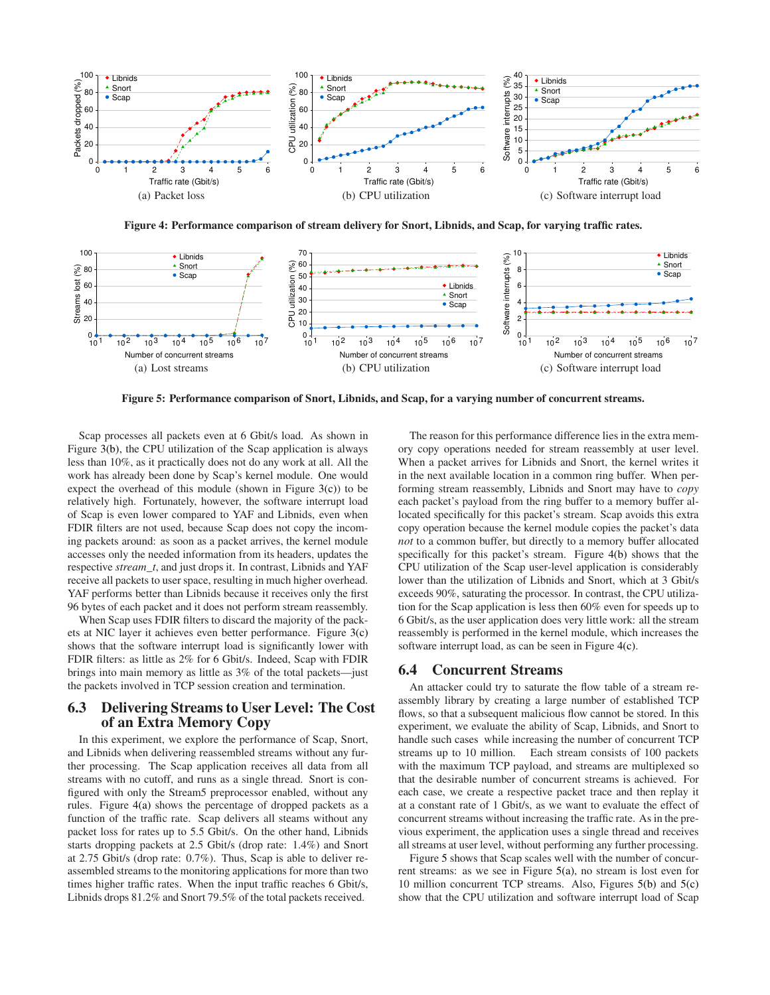<span id="page-7-0"></span>

<span id="page-7-5"></span><span id="page-7-1"></span>**Figure 4: Performance comparison of stream delivery for Snort, Libnids, and Scap, for varying traffic rates.**

<span id="page-7-4"></span>

<span id="page-7-3"></span>**Figure 5: Performance comparison of Snort, Libnids, and Scap, for a varying number of concurrent streams.**

Scap processes all packets even at 6 Gbit/s load. As shown in Figure [3\(b\),](#page-6-1) the CPU utilization of the Scap application is always less than 10%, as it practically does not do any work at all. All the work has already been done by Scap's kernel module. One would expect the overhead of this module (shown in Figure [3\(c\)\)](#page-6-2) to be relatively high. Fortunately, however, the software interrupt load of Scap is even lower compared to YAF and Libnids, even when FDIR filters are not used, because Scap does not copy the incoming packets around: as soon as a packet arrives, the kernel module accesses only the needed information from its headers, updates the respective *stream\_t*, and just drops it. In contrast, Libnids and YAF receive all packets to user space, resulting in much higher overhead. YAF performs better than Libnids because it receives only the first 96 bytes of each packet and it does not perform stream reassembly.

When Scap uses FDIR filters to discard the majority of the packets at NIC layer it achieves even better performance. Figure [3\(c\)](#page-6-2) shows that the software interrupt load is significantly lower with FDIR filters: as little as 2% for 6 Gbit/s. Indeed, Scap with FDIR brings into main memory as little as 3% of the total packets—just the packets involved in TCP session creation and termination.

# **6.3 Delivering Streams to User Level: The Cost of an Extra Memory Copy**

In this experiment, we explore the performance of Scap, Snort, and Libnids when delivering reassembled streams without any further processing. The Scap application receives all data from all streams with no cutoff, and runs as a single thread. Snort is configured with only the Stream5 preprocessor enabled, without any rules. Figure [4\(a\)](#page-7-0) shows the percentage of dropped packets as a function of the traffic rate. Scap delivers all steams without any packet loss for rates up to 5.5 Gbit/s. On the other hand, Libnids starts dropping packets at 2.5 Gbit/s (drop rate: 1.4%) and Snort at 2.75 Gbit/s (drop rate: 0.7%). Thus, Scap is able to deliver reassembled streams to the monitoring applications for more than two times higher traffic rates. When the input traffic reaches 6 Gbit/s, Libnids drops 81.2% and Snort 79.5% of the total packets received.

<span id="page-7-6"></span><span id="page-7-2"></span>The reason for this performance difference lies in the extra memory copy operations needed for stream reassembly at user level. When a packet arrives for Libnids and Snort, the kernel writes it in the next available location in a common ring buffer. When performing stream reassembly, Libnids and Snort may have to *copy* each packet's payload from the ring buffer to a memory buffer allocated specifically for this packet's stream. Scap avoids this extra copy operation because the kernel module copies the packet's data *not* to a common buffer, but directly to a memory buffer allocated specifically for this packet's stream. Figure [4\(b\)](#page-7-1) shows that the CPU utilization of the Scap user-level application is considerably lower than the utilization of Libnids and Snort, which at 3 Gbit/s exceeds 90%, saturating the processor. In contrast, the CPU utilization for the Scap application is less then 60% even for speeds up to 6 Gbit/s, as the user application does very little work: all the stream reassembly is performed in the kernel module, which increases the software interrupt load, as can be seen in Figure [4\(c\).](#page-7-2)

## **6.4 Concurrent Streams**

An attacker could try to saturate the flow table of a stream reassembly library by creating a large number of established TCP flows, so that a subsequent malicious flow cannot be stored. In this experiment, we evaluate the ability of Scap, Libnids, and Snort to handle such cases while increasing the number of concurrent TCP streams up to 10 million. Each stream consists of 100 packets with the maximum TCP payload, and streams are multiplexed so that the desirable number of concurrent streams is achieved. For each case, we create a respective packet trace and then replay it at a constant rate of 1 Gbit/s, as we want to evaluate the effect of concurrent streams without increasing the traffic rate. As in the previous experiment, the application uses a single thread and receives all streams at user level, without performing any further processing.

Figure [5](#page-7-3) shows that Scap scales well with the number of concurrent streams: as we see in Figure [5\(a\),](#page-7-4) no stream is lost even for 10 million concurrent TCP streams. Also, Figures [5\(b\)](#page-7-5) and [5\(c\)](#page-7-6) show that the CPU utilization and software interrupt load of Scap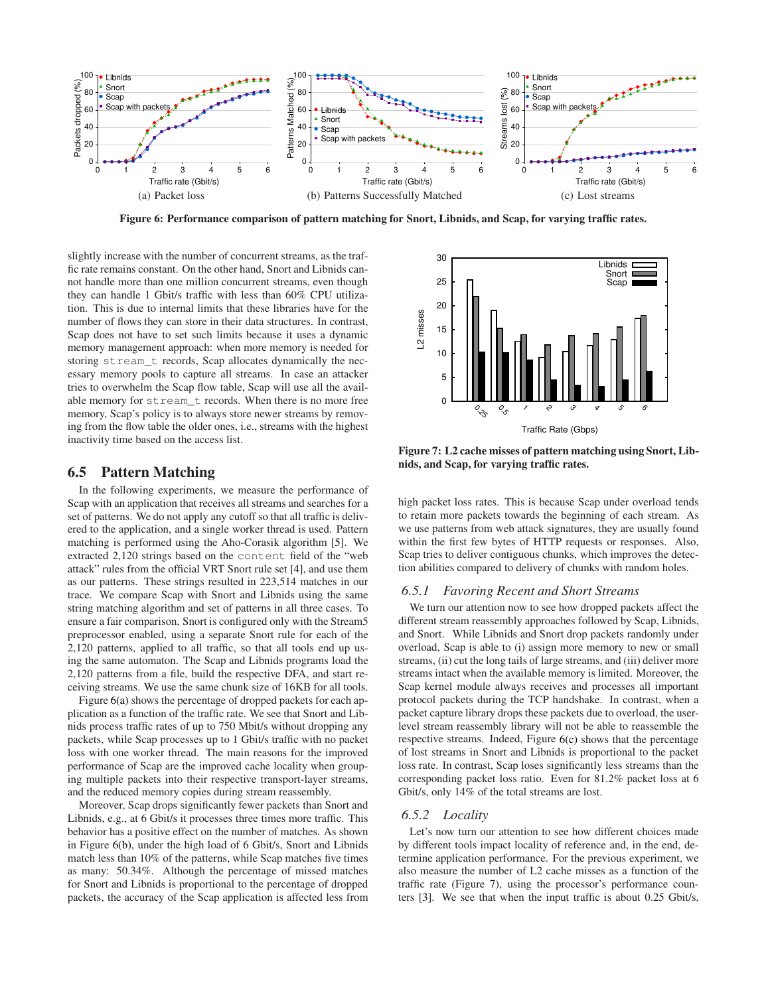<span id="page-8-1"></span><span id="page-8-0"></span>

<span id="page-8-4"></span>**Figure 6: Performance comparison of pattern matching for Snort, Libnids, and Scap, for varying traffic rates.**

slightly increase with the number of concurrent streams, as the traffic rate remains constant. On the other hand, Snort and Libnids cannot handle more than one million concurrent streams, even though they can handle 1 Gbit/s traffic with less than 60% CPU utilization. This is due to internal limits that these libraries have for the number of flows they can store in their data structures. In contrast, Scap does not have to set such limits because it uses a dynamic memory management approach: when more memory is needed for storing stream\_t records, Scap allocates dynamically the necessary memory pools to capture all streams. In case an attacker tries to overwhelm the Scap flow table, Scap will use all the available memory for stream\_t records. When there is no more free memory, Scap's policy is to always store newer streams by removing from the flow table the older ones, i.e., streams with the highest inactivity time based on the access list.

# **6.5 Pattern Matching**

In the following experiments, we measure the performance of Scap with an application that receives all streams and searches for a set of patterns. We do not apply any cutoff so that all traffic is delivered to the application, and a single worker thread is used. Pattern matching is performed using the Aho-Corasik algorithm [\[5\]](#page-12-8). We extracted 2,120 strings based on the content field of the "web attack" rules from the official VRT Snort rule set [\[4\]](#page-12-9), and use them as our patterns. These strings resulted in 223,514 matches in our trace. We compare Scap with Snort and Libnids using the same string matching algorithm and set of patterns in all three cases. To ensure a fair comparison, Snort is configured only with the Stream5 preprocessor enabled, using a separate Snort rule for each of the 2,120 patterns, applied to all traffic, so that all tools end up using the same automaton. The Scap and Libnids programs load the 2,120 patterns from a file, build the respective DFA, and start receiving streams. We use the same chunk size of 16KB for all tools.

Figure [6\(a\)](#page-8-0) shows the percentage of dropped packets for each application as a function of the traffic rate. We see that Snort and Libnids process traffic rates of up to 750 Mbit/s without dropping any packets, while Scap processes up to 1 Gbit/s traffic with no packet loss with one worker thread. The main reasons for the improved performance of Scap are the improved cache locality when grouping multiple packets into their respective transport-layer streams, and the reduced memory copies during stream reassembly.

Moreover, Scap drops significantly fewer packets than Snort and Libnids, e.g., at 6 Gbit/s it processes three times more traffic. This behavior has a positive effect on the number of matches. As shown in Figure [6\(b\),](#page-8-1) under the high load of 6 Gbit/s, Snort and Libnids match less than 10% of the patterns, while Scap matches five times as many: 50.34%. Although the percentage of missed matches for Snort and Libnids is proportional to the percentage of dropped packets, the accuracy of the Scap application is affected less from

<span id="page-8-2"></span>

<span id="page-8-3"></span>**Figure 7: L2 cache misses of pattern matching using Snort, Libnids, and Scap, for varying traffic rates.**

high packet loss rates. This is because Scap under overload tends to retain more packets towards the beginning of each stream. As we use patterns from web attack signatures, they are usually found within the first few bytes of HTTP requests or responses. Also, Scap tries to deliver contiguous chunks, which improves the detection abilities compared to delivery of chunks with random holes.

#### *6.5.1 Favoring Recent and Short Streams*

We turn our attention now to see how dropped packets affect the different stream reassembly approaches followed by Scap, Libnids, and Snort. While Libnids and Snort drop packets randomly under overload, Scap is able to (i) assign more memory to new or small streams, (ii) cut the long tails of large streams, and (iii) deliver more streams intact when the available memory is limited. Moreover, the Scap kernel module always receives and processes all important protocol packets during the TCP handshake. In contrast, when a packet capture library drops these packets due to overload, the userlevel stream reassembly library will not be able to reassemble the respective streams. Indeed, Figure [6\(c\)](#page-8-2) shows that the percentage of lost streams in Snort and Libnids is proportional to the packet loss rate. In contrast, Scap loses significantly less streams than the corresponding packet loss ratio. Even for 81.2% packet loss at 6 Gbit/s, only 14% of the total streams are lost.

#### *6.5.2 Locality*

Let's now turn our attention to see how different choices made by different tools impact locality of reference and, in the end, determine application performance. For the previous experiment, we also measure the number of L2 cache misses as a function of the traffic rate (Figure [7\)](#page-8-3), using the processor's performance counters [\[3\]](#page-12-10). We see that when the input traffic is about 0.25 Gbit/s,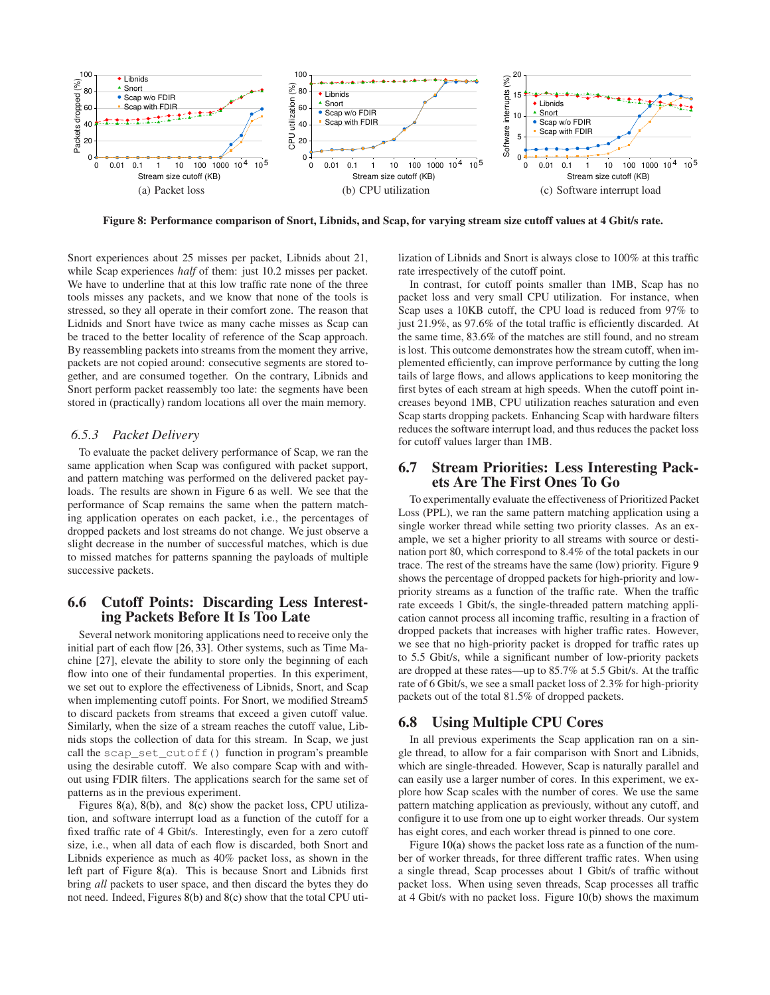<span id="page-9-2"></span><span id="page-9-1"></span>

**Figure 8: Performance comparison of Snort, Libnids, and Scap, for varying stream size cutoff values at 4 Gbit/s rate.**

Snort experiences about 25 misses per packet, Libnids about 21, while Scap experiences *half* of them: just 10.2 misses per packet. We have to underline that at this low traffic rate none of the three tools misses any packets, and we know that none of the tools is stressed, so they all operate in their comfort zone. The reason that Lidnids and Snort have twice as many cache misses as Scap can be traced to the better locality of reference of the Scap approach. By reassembling packets into streams from the moment they arrive, packets are not copied around: consecutive segments are stored together, and are consumed together. On the contrary, Libnids and Snort perform packet reassembly too late: the segments have been stored in (practically) random locations all over the main memory.

## <span id="page-9-0"></span>*6.5.3 Packet Delivery*

To evaluate the packet delivery performance of Scap, we ran the same application when Scap was configured with packet support, and pattern matching was performed on the delivered packet payloads. The results are shown in Figure [6](#page-8-4) as well. We see that the performance of Scap remains the same when the pattern matching application operates on each packet, i.e., the percentages of dropped packets and lost streams do not change. We just observe a slight decrease in the number of successful matches, which is due to missed matches for patterns spanning the payloads of multiple successive packets.

## **6.6 Cutoff Points: Discarding Less Interesting Packets Before It Is Too Late**

Several network monitoring applications need to receive only the initial part of each flow [\[26,](#page-13-10) [33\]](#page-13-12). Other systems, such as Time Machine [\[27\]](#page-13-11), elevate the ability to store only the beginning of each flow into one of their fundamental properties. In this experiment, we set out to explore the effectiveness of Libnids, Snort, and Scap when implementing cutoff points. For Snort, we modified Stream5 to discard packets from streams that exceed a given cutoff value. Similarly, when the size of a stream reaches the cutoff value, Libnids stops the collection of data for this stream. In Scap, we just call the scap\_set\_cutoff() function in program's preamble using the desirable cutoff. We also compare Scap with and without using FDIR filters. The applications search for the same set of patterns as in the previous experiment.

Figures [8\(a\),](#page-9-1) [8\(b\),](#page-9-2) and [8\(c\)](#page-9-3) show the packet loss, CPU utilization, and software interrupt load as a function of the cutoff for a fixed traffic rate of 4 Gbit/s. Interestingly, even for a zero cutoff size, i.e., when all data of each flow is discarded, both Snort and Libnids experience as much as 40% packet loss, as shown in the left part of Figure [8\(a\).](#page-9-1) This is because Snort and Libnids first bring *all* packets to user space, and then discard the bytes they do not need. Indeed, Figures [8\(b\)](#page-9-2) and [8\(c\)](#page-9-3) show that the total CPU uti<span id="page-9-3"></span>lization of Libnids and Snort is always close to 100% at this traffic rate irrespectively of the cutoff point.

In contrast, for cutoff points smaller than 1MB, Scap has no packet loss and very small CPU utilization. For instance, when Scap uses a 10KB cutoff, the CPU load is reduced from 97% to just 21.9%, as 97.6% of the total traffic is efficiently discarded. At the same time, 83.6% of the matches are still found, and no stream is lost. This outcome demonstrates how the stream cutoff, when implemented efficiently, can improve performance by cutting the long tails of large flows, and allows applications to keep monitoring the first bytes of each stream at high speeds. When the cutoff point increases beyond 1MB, CPU utilization reaches saturation and even Scap starts dropping packets. Enhancing Scap with hardware filters reduces the software interrupt load, and thus reduces the packet loss for cutoff values larger than 1MB.

# **6.7 Stream Priorities: Less Interesting Packets Are The First Ones To Go**

To experimentally evaluate the effectiveness of Prioritized Packet Loss (PPL), we ran the same pattern matching application using a single worker thread while setting two priority classes. As an example, we set a higher priority to all streams with source or destination port 80, which correspond to 8.4% of the total packets in our trace. The rest of the streams have the same (low) priority. Figure [9](#page-10-0) shows the percentage of dropped packets for high-priority and lowpriority streams as a function of the traffic rate. When the traffic rate exceeds 1 Gbit/s, the single-threaded pattern matching application cannot process all incoming traffic, resulting in a fraction of dropped packets that increases with higher traffic rates. However, we see that no high-priority packet is dropped for traffic rates up to 5.5 Gbit/s, while a significant number of low-priority packets are dropped at these rates—up to 85.7% at 5.5 Gbit/s. At the traffic rate of 6 Gbit/s, we see a small packet loss of 2.3% for high-priority packets out of the total 81.5% of dropped packets.

#### **6.8 Using Multiple CPU Cores**

In all previous experiments the Scap application ran on a single thread, to allow for a fair comparison with Snort and Libnids, which are single-threaded. However, Scap is naturally parallel and can easily use a larger number of cores. In this experiment, we explore how Scap scales with the number of cores. We use the same pattern matching application as previously, without any cutoff, and configure it to use from one up to eight worker threads. Our system has eight cores, and each worker thread is pinned to one core.

Figure [10\(a\)](#page-10-1) shows the packet loss rate as a function of the number of worker threads, for three different traffic rates. When using a single thread, Scap processes about 1 Gbit/s of traffic without packet loss. When using seven threads, Scap processes all traffic at 4 Gbit/s with no packet loss. Figure [10\(b\)](#page-10-2) shows the maximum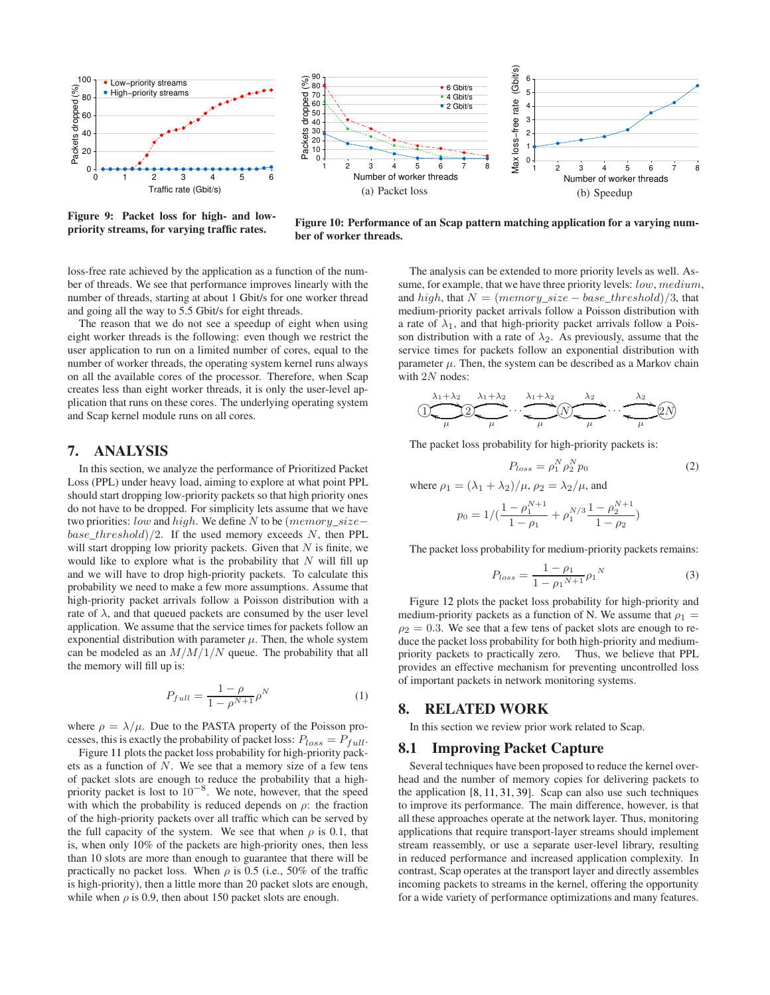

<span id="page-10-2"></span><span id="page-10-1"></span>Max loss-free rate (Gbit/s) Max loss−free rate (Gbit/s) 80 90 6 Packets dropped (%) 6 Gbit/s 5 70<br>60<br>50<br>40<br>30<br>20<br>10<br>0 4 Gbit/s • 2 Gbit/s 4 3 2 1 0 1 2 3 4 5 6 7 8 1 2 3 4 5 6 7 8 Number of worker threads Number of worker threads (a) Packet loss (b) Speedup

<span id="page-10-0"></span>**Figure 9: Packet loss for high- and lowpriority streams, for varying traffic rates.**

**Figure 10: Performance of an Scap pattern matching application for a varying number of worker threads.**

loss-free rate achieved by the application as a function of the number of threads. We see that performance improves linearly with the number of threads, starting at about 1 Gbit/s for one worker thread and going all the way to 5.5 Gbit/s for eight threads.

The reason that we do not see a speedup of eight when using eight worker threads is the following: even though we restrict the user application to run on a limited number of cores, equal to the number of worker threads, the operating system kernel runs always on all the available cores of the processor. Therefore, when Scap creates less than eight worker threads, it is only the user-level application that runs on these cores. The underlying operating system and Scap kernel module runs on all cores.

# **7. ANALYSIS**

In this section, we analyze the performance of Prioritized Packet Loss (PPL) under heavy load, aiming to explore at what point PPL should start dropping low-priority packets so that high priority ones do not have to be dropped. For simplicity lets assume that we have two priorities: low and high. We define N to be (memory\_size− base threshold)/2. If the used memory exceeds N, then PPL will start dropping low priority packets. Given that  $N$  is finite, we would like to explore what is the probability that  $N$  will fill up and we will have to drop high-priority packets. To calculate this probability we need to make a few more assumptions. Assume that high-priority packet arrivals follow a Poisson distribution with a rate of  $\lambda$ , and that queued packets are consumed by the user level application. We assume that the service times for packets follow an exponential distribution with parameter  $\mu$ . Then, the whole system can be modeled as an  $M/M/1/N$  queue. The probability that all the memory will fill up is:

$$
P_{full} = \frac{1 - \rho}{1 - \rho^{N+1}} \rho^N
$$
 (1)

where  $\rho = \lambda/\mu$ . Due to the PASTA property of the Poisson processes, this is exactly the probability of packet loss:  $P_{loss} = P_{full}$ .

Figure [11](#page-11-0) plots the packet loss probability for high-priority packets as a function of  $N$ . We see that a memory size of a few tens of packet slots are enough to reduce the probability that a highpriority packet is lost to  $10^{-8}$ . We note, however, that the speed with which the probability is reduced depends on  $\rho$ : the fraction of the high-priority packets over all traffic which can be served by the full capacity of the system. We see that when  $\rho$  is 0.1, that is, when only 10% of the packets are high-priority ones, then less than 10 slots are more than enough to guarantee that there will be practically no packet loss. When  $\rho$  is 0.5 (i.e., 50% of the traffic is high-priority), then a little more than 20 packet slots are enough, while when  $\rho$  is 0.9, then about 150 packet slots are enough.

The analysis can be extended to more priority levels as well. Assume, for example, that we have three priority levels: *low*, medium, and high, that  $N = (memory\_size - base\_threshold)/3$ , that medium-priority packet arrivals follow a Poisson distribution with a rate of  $\lambda_1$ , and that high-priority packet arrivals follow a Poisson distribution with a rate of  $\lambda_2$ . As previously, assume that the service times for packets follow an exponential distribution with parameter  $\mu$ . Then, the system can be described as a Markov chain with  $2N$  nodes:

$$
\underbrace{\left(1\right)}_{\mu}\underbrace{\left(2\right)}_{\mu}\underbrace{\left(1+\lambda_2\right)}_{\mu}\cdots\underbrace{\left(1+\lambda_2\right)}_{\mu}\underbrace{\left(1\right)}_{\mu}\underbrace{\left(1\right)}_{\mu}\cdots\underbrace{\left(1\right)}_{\mu}\underbrace{\left(2\right)}_{\mu}
$$

The packet loss probability for high-priority packets is:

$$
P_{loss} = \rho_1^N \rho_2^N p_0 \tag{2}
$$

where  $\rho_1 = (\lambda_1 + \lambda_2)/\mu$ ,  $\rho_2 = \lambda_2/\mu$ , and

$$
p_0 = 1/(\frac{1 - \rho_1^{N+1}}{1 - \rho_1} + \rho_1^{N/3} \frac{1 - \rho_2^{N+1}}{1 - \rho_2})
$$

The packet loss probability for medium-priority packets remains:

$$
P_{loss} = \frac{1 - \rho_1}{1 - \rho_1^{N+1}} \rho_1^N
$$
 (3)

Figure [12](#page-11-1) plots the packet loss probability for high-priority and medium-priority packets as a function of N. We assume that  $\rho_1$  =  $\rho_2 = 0.3$ . We see that a few tens of packet slots are enough to reduce the packet loss probability for both high-priority and mediumpriority packets to practically zero. Thus, we believe that PPL provides an effective mechanism for preventing uncontrolled loss of important packets in network monitoring systems.

#### **8. RELATED WORK**

In this section we review prior work related to Scap.

## **8.1 Improving Packet Capture**

Several techniques have been proposed to reduce the kernel overhead and the number of memory copies for delivering packets to the application [\[8,](#page-12-11) [11,](#page-12-2) [31,](#page-13-30) [39\]](#page-13-31). Scap can also use such techniques to improve its performance. The main difference, however, is that all these approaches operate at the network layer. Thus, monitoring applications that require transport-layer streams should implement stream reassembly, or use a separate user-level library, resulting in reduced performance and increased application complexity. In contrast, Scap operates at the transport layer and directly assembles incoming packets to streams in the kernel, offering the opportunity for a wide variety of performance optimizations and many features.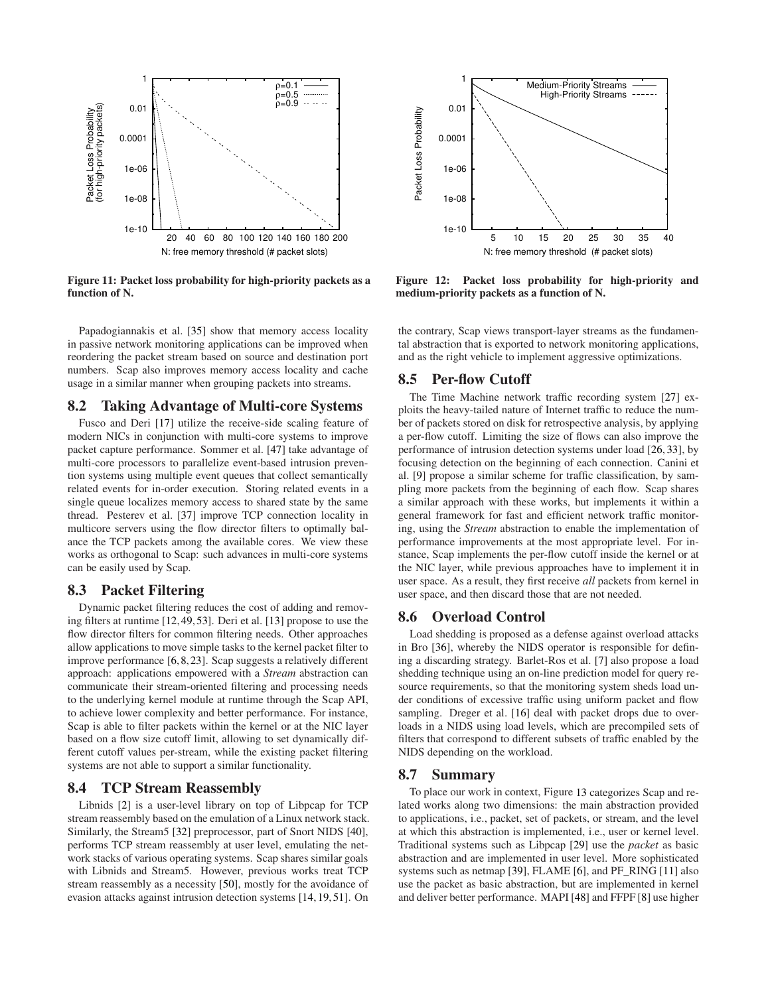

<span id="page-11-0"></span>**Figure 11: Packet loss probability for high-priority packets as a function of N.**

Papadogiannakis et al. [\[35\]](#page-13-23) show that memory access locality in passive network monitoring applications can be improved when reordering the packet stream based on source and destination port numbers. Scap also improves memory access locality and cache usage in a similar manner when grouping packets into streams.

# **8.2 Taking Advantage of Multi-core Systems**

Fusco and Deri [\[17\]](#page-13-32) utilize the receive-side scaling feature of modern NICs in conjunction with multi-core systems to improve packet capture performance. Sommer et al. [\[47\]](#page-13-33) take advantage of multi-core processors to parallelize event-based intrusion prevention systems using multiple event queues that collect semantically related events for in-order execution. Storing related events in a single queue localizes memory access to shared state by the same thread. Pesterev et al. [\[37\]](#page-13-22) improve TCP connection locality in multicore servers using the flow director filters to optimally balance the TCP packets among the available cores. We view these works as orthogonal to Scap: such advances in multi-core systems can be easily used by Scap.

# **8.3 Packet Filtering**

Dynamic packet filtering reduces the cost of adding and removing filters at runtime [\[12,](#page-12-12)[49,](#page-13-34)[53\]](#page-13-35). Deri et al. [\[13\]](#page-12-5) propose to use the flow director filters for common filtering needs. Other approaches allow applications to move simple tasks to the kernel packet filter to improve performance [\[6,](#page-12-13)[8,](#page-12-11)[23\]](#page-13-36). Scap suggests a relatively different approach: applications empowered with a *Stream* abstraction can communicate their stream-oriented filtering and processing needs to the underlying kernel module at runtime through the Scap API, to achieve lower complexity and better performance. For instance, Scap is able to filter packets within the kernel or at the NIC layer based on a flow size cutoff limit, allowing to set dynamically different cutoff values per-stream, while the existing packet filtering systems are not able to support a similar functionality.

# **8.4 TCP Stream Reassembly**

Libnids [\[2\]](#page-12-3) is a user-level library on top of Libpcap for TCP stream reassembly based on the emulation of a Linux network stack. Similarly, the Stream5 [\[32\]](#page-13-21) preprocessor, part of Snort NIDS [\[40\]](#page-13-1), performs TCP stream reassembly at user level, emulating the network stacks of various operating systems. Scap shares similar goals with Libnids and Stream5. However, previous works treat TCP stream reassembly as a necessity [\[50\]](#page-13-9), mostly for the avoidance of evasion attacks against intrusion detection systems [\[14,](#page-12-1)[19,](#page-13-5)[51\]](#page-13-19). On



<span id="page-11-1"></span>**Figure 12: Packet loss probability for high-priority and medium-priority packets as a function of N.**

the contrary, Scap views transport-layer streams as the fundamental abstraction that is exported to network monitoring applications, and as the right vehicle to implement aggressive optimizations.

## **8.5 Per-flow Cutoff**

The Time Machine network traffic recording system [\[27\]](#page-13-11) exploits the heavy-tailed nature of Internet traffic to reduce the number of packets stored on disk for retrospective analysis, by applying a per-flow cutoff. Limiting the size of flows can also improve the performance of intrusion detection systems under load [\[26,](#page-13-10) [33\]](#page-13-12), by focusing detection on the beginning of each connection. Canini et al. [\[9\]](#page-12-4) propose a similar scheme for traffic classification, by sampling more packets from the beginning of each flow. Scap shares a similar approach with these works, but implements it within a general framework for fast and efficient network traffic monitoring, using the *Stream* abstraction to enable the implementation of performance improvements at the most appropriate level. For instance, Scap implements the per-flow cutoff inside the kernel or at the NIC layer, while previous approaches have to implement it in user space. As a result, they first receive *all* packets from kernel in user space, and then discard those that are not needed.

## **8.6 Overload Control**

Load shedding is proposed as a defense against overload attacks in Bro [\[36\]](#page-13-0), whereby the NIDS operator is responsible for defining a discarding strategy. Barlet-Ros et al. [\[7\]](#page-12-14) also propose a load shedding technique using an on-line prediction model for query resource requirements, so that the monitoring system sheds load under conditions of excessive traffic using uniform packet and flow sampling. Dreger et al. [\[16\]](#page-13-17) deal with packet drops due to overloads in a NIDS using load levels, which are precompiled sets of filters that correspond to different subsets of traffic enabled by the NIDS depending on the workload.

#### **8.7 Summary**

To place our work in context, Figure [13](#page-12-15) categorizes Scap and related works along two dimensions: the main abstraction provided to applications, i.e., packet, set of packets, or stream, and the level at which this abstraction is implemented, i.e., user or kernel level. Traditional systems such as Libpcap [\[29\]](#page-13-8) use the *packet* as basic abstraction and are implemented in user level. More sophisticated systems such as netmap [\[39\]](#page-13-31), FLAME [\[6\]](#page-12-13), and PF\_RING [\[11\]](#page-12-2) also use the packet as basic abstraction, but are implemented in kernel and deliver better performance. MAPI [\[48\]](#page-13-37) and FFPF [\[8\]](#page-12-11) use higher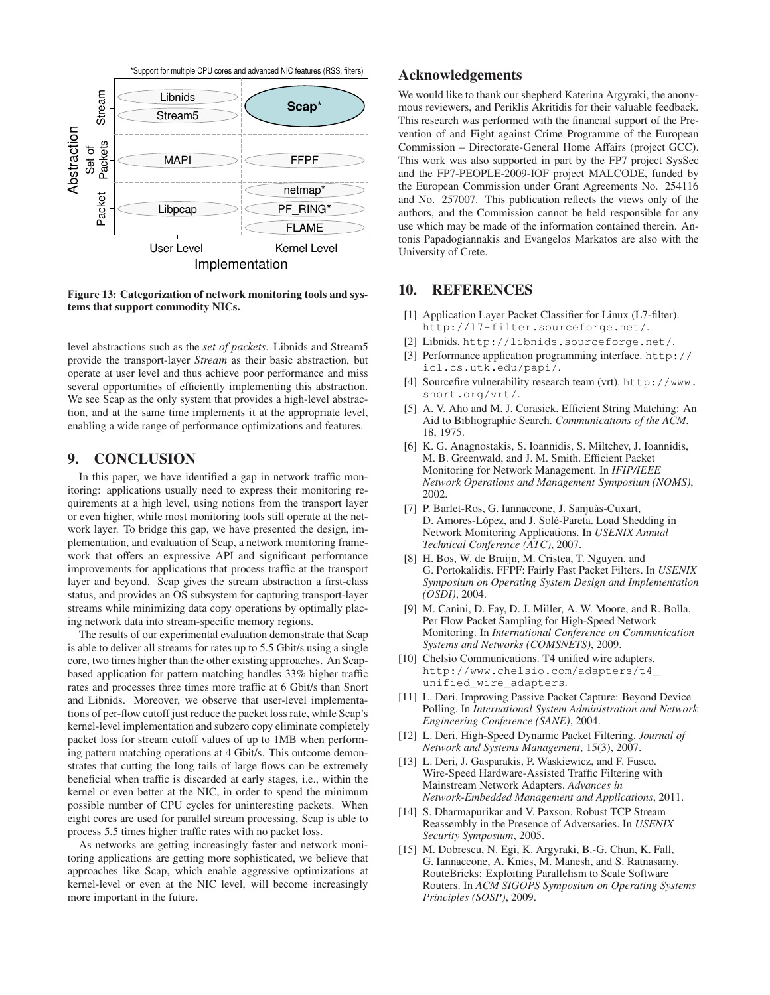

<span id="page-12-15"></span>**Figure 13: Categorization of network monitoring tools and systems that support commodity NICs.**

level abstractions such as the *set of packets*. Libnids and Stream5 provide the transport-layer *Stream* as their basic abstraction, but operate at user level and thus achieve poor performance and miss several opportunities of efficiently implementing this abstraction. We see Scap as the only system that provides a high-level abstraction, and at the same time implements it at the appropriate level, enabling a wide range of performance optimizations and features.

## **9. CONCLUSION**

In this paper, we have identified a gap in network traffic monitoring: applications usually need to express their monitoring requirements at a high level, using notions from the transport layer or even higher, while most monitoring tools still operate at the network layer. To bridge this gap, we have presented the design, implementation, and evaluation of Scap, a network monitoring framework that offers an expressive API and significant performance improvements for applications that process traffic at the transport layer and beyond. Scap gives the stream abstraction a first-class status, and provides an OS subsystem for capturing transport-layer streams while minimizing data copy operations by optimally placing network data into stream-specific memory regions.

The results of our experimental evaluation demonstrate that Scap is able to deliver all streams for rates up to 5.5 Gbit/s using a single core, two times higher than the other existing approaches. An Scapbased application for pattern matching handles 33% higher traffic rates and processes three times more traffic at 6 Gbit/s than Snort and Libnids. Moreover, we observe that user-level implementations of per-flow cutoff just reduce the packet loss rate, while Scap's kernel-level implementation and subzero copy eliminate completely packet loss for stream cutoff values of up to 1MB when performing pattern matching operations at 4 Gbit/s. This outcome demonstrates that cutting the long tails of large flows can be extremely beneficial when traffic is discarded at early stages, i.e., within the kernel or even better at the NIC, in order to spend the minimum possible number of CPU cycles for uninteresting packets. When eight cores are used for parallel stream processing, Scap is able to process 5.5 times higher traffic rates with no packet loss.

As networks are getting increasingly faster and network monitoring applications are getting more sophisticated, we believe that approaches like Scap, which enable aggressive optimizations at kernel-level or even at the NIC level, will become increasingly more important in the future.

# **Acknowledgements**

We would like to thank our shepherd Katerina Argyraki, the anonymous reviewers, and Periklis Akritidis for their valuable feedback. This research was performed with the financial support of the Prevention of and Fight against Crime Programme of the European Commission – Directorate-General Home Affairs (project GCC). This work was also supported in part by the FP7 project SysSec and the FP7-PEOPLE-2009-IOF project MALCODE, funded by the European Commission under Grant Agreements No. 254116 and No. 257007. This publication reflects the views only of the authors, and the Commission cannot be held responsible for any use which may be made of the information contained therein. Antonis Papadogiannakis and Evangelos Markatos are also with the University of Crete.

# <span id="page-12-0"></span>**10. REFERENCES**

- [1] Application Layer Packet Classifier for Linux (L7-filter). <http://l7-filter.sourceforge.net/>.
- <span id="page-12-10"></span><span id="page-12-3"></span>[2] Libnids. <http://libnids.sourceforge.net/>.
- [3] Performance application programming interface. [http://](http://icl.cs.utk.edu/papi/) [icl.cs.utk.edu/papi/](http://icl.cs.utk.edu/papi/).
- <span id="page-12-9"></span>[4] Sourcefire vulnerability research team (vrt). [http://www.](http://www.snort.org/vrt/) [snort.org/vrt/](http://www.snort.org/vrt/).
- <span id="page-12-8"></span>[5] A. V. Aho and M. J. Corasick. Efficient String Matching: An Aid to Bibliographic Search. *Communications of the ACM*, 18, 1975.
- <span id="page-12-13"></span>[6] K. G. Anagnostakis, S. Ioannidis, S. Miltchev, J. Ioannidis, M. B. Greenwald, and J. M. Smith. Efficient Packet Monitoring for Network Management. In *IFIP/IEEE Network Operations and Management Symposium (NOMS)*, 2002.
- <span id="page-12-14"></span>[7] P. Barlet-Ros, G. Iannaccone, J. Sanjuàs-Cuxart, D. Amores-López, and J. Solé-Pareta. Load Shedding in Network Monitoring Applications. In *USENIX Annual Technical Conference (ATC)*, 2007.
- <span id="page-12-11"></span>[8] H. Bos, W. de Bruijn, M. Cristea, T. Nguyen, and G. Portokalidis. FFPF: Fairly Fast Packet Filters. In *USENIX Symposium on Operating System Design and Implementation (OSDI)*, 2004.
- <span id="page-12-4"></span>[9] M. Canini, D. Fay, D. J. Miller, A. W. Moore, and R. Bolla. Per Flow Packet Sampling for High-Speed Network Monitoring. In *International Conference on Communication Systems and Networks (COMSNETS)*, 2009.
- <span id="page-12-7"></span>[10] Chelsio Communications. T4 unified wire adapters. [http://www.chelsio.com/adapters/t4\\_](http://www.chelsio.com/adapters/t4_unified_wire_adapters) [unified\\_wire\\_adapters](http://www.chelsio.com/adapters/t4_unified_wire_adapters).
- <span id="page-12-2"></span>[11] L. Deri. Improving Passive Packet Capture: Beyond Device Polling. In *International System Administration and Network Engineering Conference (SANE)*, 2004.
- <span id="page-12-12"></span>[12] L. Deri. High-Speed Dynamic Packet Filtering. *Journal of Network and Systems Management*, 15(3), 2007.
- <span id="page-12-5"></span>[13] L. Deri, J. Gasparakis, P. Waskiewicz, and F. Fusco. Wire-Speed Hardware-Assisted Traffic Filtering with Mainstream Network Adapters. *Advances in Network-Embedded Management and Applications*, 2011.
- <span id="page-12-1"></span>[14] S. Dharmapurikar and V. Paxson. Robust TCP Stream Reassembly in the Presence of Adversaries. In *USENIX Security Symposium*, 2005.
- <span id="page-12-6"></span>[15] M. Dobrescu, N. Egi, K. Argyraki, B.-G. Chun, K. Fall, G. Iannaccone, A. Knies, M. Manesh, and S. Ratnasamy. RouteBricks: Exploiting Parallelism to Scale Software Routers. In *ACM SIGOPS Symposium on Operating Systems Principles (SOSP)*, 2009.